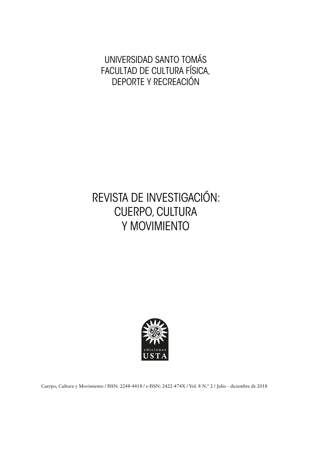UNIVERSIDAD SANTO TOMÁS FACULTAD DE CULTURA FÍSICA, DEPORTE Y RECREACIÓN

## REVISTA DE INVESTIGACIÓN: CUERPO, CULTURA Y MOVIMIENTO



Cuerpo, Cultura y Movimiento / ISSN: 2248-4418 / e-ISSN: 2422-474X / Vol. 8 N.º 2 / Julio - diciembre de 2018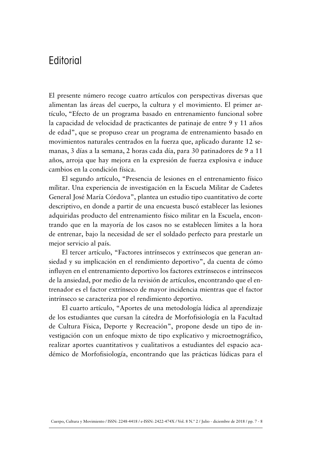## **Editorial**

El presente número recoge cuatro artículos con perspectivas diversas que alimentan las áreas del cuerpo, la cultura y el movimiento. El primer artículo, "Efecto de un programa basado en entrenamiento funcional sobre la capacidad de velocidad de practicantes de patinaje de entre 9 y 11 años de edad", que se propuso crear un programa de entrenamiento basado en movimientos naturales centrados en la fuerza que, aplicado durante 12 semanas, 3 días a la semana, 2 horas cada día, para 30 patinadores de 9 a 11 años, arroja que hay mejora en la expresión de fuerza explosiva e induce cambios en la condición física.

El segundo artículo, "Presencia de lesiones en el entrenamiento físico mílitar. Una experiencia de investigación en la Escuela Militar de Cadetes General José María Córdova", plantea un estudio tipo cuantitativo de corte descriptivo, en donde a partir de una encuesta buscó establecer las lesiones adquiridas producto del entrenamiento físico militar en la Escuela, encontrando que en la mayoría de los casos no se establecen límites a la hora de entrenar, bajo la necesidad de ser el soldado perfecto para prestarle un mejor servicio al país.

El tercer artículo, "Factores intrínsecos y extrínsecos que generan ansiedad y su implicación en el rendimiento deportivo", da cuenta de cómo influyen en el entrenamiento deportivo los factores extrínsecos e intrínsecos de la ansiedad, por medio de la revisión de artículos, encontrando que el entrenador es el factor extrínseco de mayor incidencia mientras que el factor intrínseco se caracteriza por el rendimiento deportivo.

El cuarto artículo, "Aportes de una metodología lúdica al aprendizaje de los estudiantes que cursan la cátedra de Morfofisiología en la Facultad de Cultura Física, Deporte y Recreación", propone desde un tipo de investigación con un enfoque mixto de tipo explicativo y microetnográfico, realizar aportes cuantitativos y cualitativos a estudiantes del espacio académico de Morfofisiología, encontrando que las prácticas lúdicas para el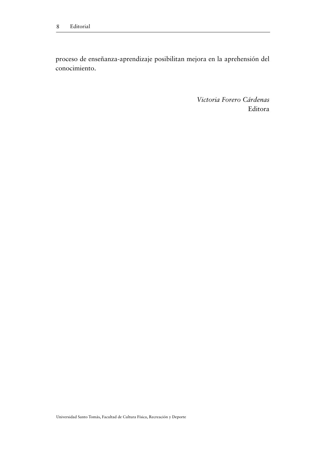proceso de enseñanza-aprendizaje posibilitan mejora en la aprehensión del conocimiento.

> *Victoria Forero Cárdenas* Editora